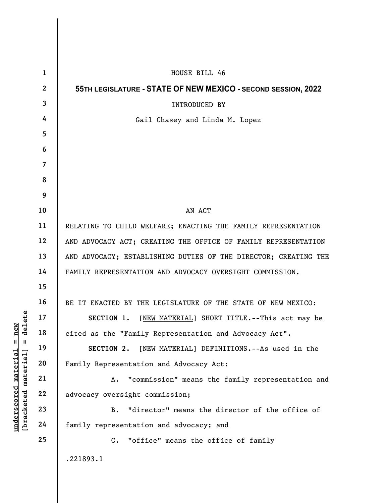|                                                       | $\mathbf{1}$            | HOUSE BILL 46                                                   |
|-------------------------------------------------------|-------------------------|-----------------------------------------------------------------|
|                                                       | $\overline{2}$          | 55TH LEGISLATURE - STATE OF NEW MEXICO - SECOND SESSION, 2022   |
|                                                       | $\overline{\mathbf{3}}$ | <b>INTRODUCED BY</b>                                            |
|                                                       | 4                       | Gail Chasey and Linda M. Lopez                                  |
| ete<br>ਸ਼ ਜ<br>$n_e$<br>$\frac{e}{d}$<br>$\mathbf{I}$ | 5                       |                                                                 |
|                                                       | 6                       |                                                                 |
|                                                       | $\overline{7}$          |                                                                 |
|                                                       | 8                       |                                                                 |
|                                                       | 9                       |                                                                 |
|                                                       | 10                      | AN ACT                                                          |
|                                                       | 11                      | RELATING TO CHILD WELFARE; ENACTING THE FAMILY REPRESENTATION   |
|                                                       | 12                      | AND ADVOCACY ACT; CREATING THE OFFICE OF FAMILY REPRESENTATION  |
|                                                       | 13                      | AND ADVOCACY; ESTABLISHING DUTIES OF THE DIRECTOR; CREATING THE |
|                                                       | 14                      | FAMILY REPRESENTATION AND ADVOCACY OVERSIGHT COMMISSION.        |
|                                                       | 15                      |                                                                 |
|                                                       | 16                      | BE IT ENACTED BY THE LEGISLATURE OF THE STATE OF NEW MEXICO:    |
|                                                       | 17                      | SECTION 1. [NEW MATERIAL] SHORT TITLE. -- This act may be       |
|                                                       | 18                      | cited as the "Family Representation and Advocacy Act".          |
|                                                       | 19                      | [NEW MATERIAL] DEFINITIONS. -- As used in the<br>SECTION 2.     |
| $\mathtt{material}$                                   | 20                      | Family Representation and Advocacy Act:                         |
|                                                       | 21                      | "commission" means the family representation and<br>Α.          |
|                                                       | 22                      | advocacy oversight commission;                                  |
| [bracketed material]<br>underscored                   | 23                      | "director" means the director of the office of<br>B.            |
|                                                       | 24                      | family representation and advocacy; and                         |
|                                                       | 25                      | "office" means the office of family<br>$\mathbf{C}$ .           |
|                                                       |                         | .221893.1                                                       |
|                                                       |                         |                                                                 |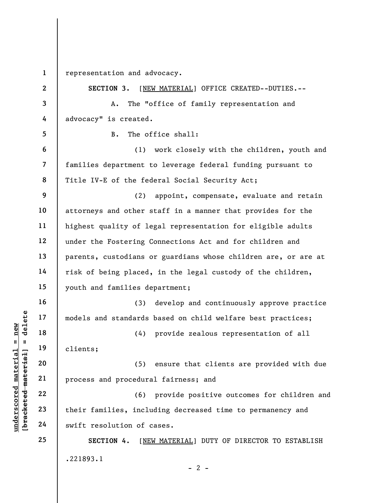1 representation and advocacy.

| $\mathbf{2}$   | SECTION 3.<br>[NEW MATERIAL] OFFICE CREATED--DUTIES.--         |
|----------------|----------------------------------------------------------------|
| 3              | The "office of family representation and<br>Α.                 |
| 4              | advocacy" is created.                                          |
| 5              | The office shall:<br>$B$ .                                     |
| 6              | (1)<br>work closely with the children, youth and               |
| $\overline{7}$ | families department to leverage federal funding pursuant to    |
| 8              | Title IV-E of the federal Social Security Act;                 |
| 9              | (2)<br>appoint, compensate, evaluate and retain                |
| 10             | attorneys and other staff in a manner that provides for the    |
| 11             | highest quality of legal representation for eligible adults    |
| 12             | under the Fostering Connections Act and for children and       |
| 13             | parents, custodians or guardians whose children are, or are at |
| 14             | risk of being placed, in the legal custody of the children,    |
| 15             | youth and families department;                                 |
| 16             | develop and continuously approve practice<br>(3)               |
| 17             | models and standards based on child welfare best practices;    |
| 18             | provide zealous representation of all<br>(4)                   |
| 19             | clients;                                                       |
| 20             | (5) ensure that clients are provided with due                  |
| 21             | process and procedural fairness; and                           |
| 22             | (6) provide positive outcomes for children and                 |
| 23             | their families, including decreased time to permanency and     |
| 24             | swift resolution of cases.                                     |
| 25             | SECTION 4.<br>[NEW MATERIAL] DUTY OF DIRECTOR TO ESTABLISH     |
|                | .221893.1<br>$-2-$                                             |

## $\frac{\text{underscored material = new}}{\text{beac detected-matter}+\text{d}}$  = delete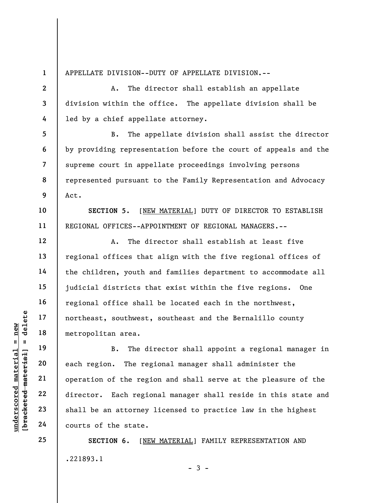1 2

3

4

5

6

7

8

9

10

11

12

13

14

15

16

17

18

19

20

21

22

23

24

25

APPELLATE DIVISION--DUTY OF APPELLATE DIVISION.--

A. The director shall establish an appellate division within the office. The appellate division shall be led by a chief appellate attorney.

B. The appellate division shall assist the director by providing representation before the court of appeals and the supreme court in appellate proceedings involving persons represented pursuant to the Family Representation and Advocacy Act.

SECTION 5. [NEW MATERIAL] DUTY OF DIRECTOR TO ESTABLISH REGIONAL OFFICES--APPOINTMENT OF REGIONAL MANAGERS.--

A. The director shall establish at least five regional offices that align with the five regional offices of the children, youth and families department to accommodate all judicial districts that exist within the five regions. One regional office shall be located each in the northwest, northeast, southwest, southeast and the Bernalillo county metropolitan area.

understand material material extra metropolitan area.<br>
The discussion of the region of the region of the region of the region of the region of the region of the region of the region of the state. B. The director shall appoint a regional manager in each region. The regional manager shall administer the operation of the region and shall serve at the pleasure of the director. Each regional manager shall reside in this state and shall be an attorney licensed to practice law in the highest courts of the state.

> SECTION 6. [NEW MATERIAL] FAMILY REPRESENTATION AND .221893.1  $-3 -$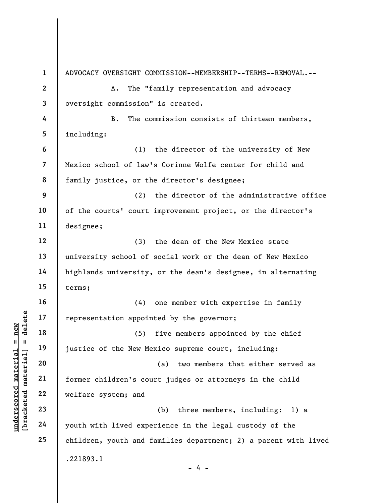under 17<br>
= 18<br>
= 18<br>
= 19<br>
= 19<br>
= 19<br>
= 19<br>
= 19<br>
= 19<br>
= 19<br>
= 19<br>
= 19<br>
= 19<br>
= 19<br>
= 19<br>
= 19<br>
= 19<br>
= 19<br>
= 19<br>
= 19<br>
= 19<br>
= 19<br>
= 19<br>
= 19<br>
= 19<br>
= 19<br>
= 19<br>
= 19<br>
= 19<br>
= 19<br>
= 19<br>
= 19<br>
= 19<br>
= 19<br>
= 19<br>
= 19<br>
= 1 2 3 4 5 6 7 8 9 10 11 12 13 14 15 16 17 18 19 20 21 22 23 24 25 ADVOCACY OVERSIGHT COMMISSION--MEMBERSHIP--TERMS--REMOVAL.-- A. The "family representation and advocacy oversight commission" is created. B. The commission consists of thirteen members, including: (1) the director of the university of New Mexico school of law's Corinne Wolfe center for child and family justice, or the director's designee; (2) the director of the administrative office of the courts' court improvement project, or the director's designee; (3) the dean of the New Mexico state university school of social work or the dean of New Mexico highlands university, or the dean's designee, in alternating terms; (4) one member with expertise in family representation appointed by the governor; (5) five members appointed by the chief justice of the New Mexico supreme court, including: (a) two members that either served as former children's court judges or attorneys in the child welfare system; and (b) three members, including: 1) a youth with lived experience in the legal custody of the children, youth and families department; 2) a parent with lived .221893.1 - 4 -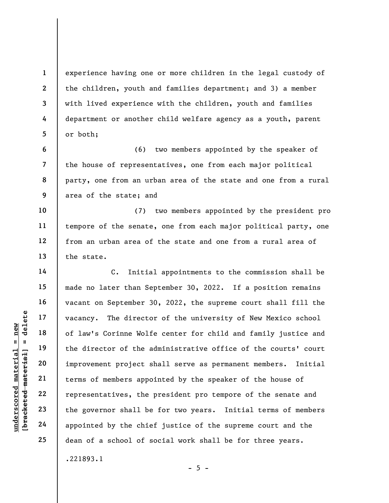experience having one or more children in the legal custody of the children, youth and families department; and 3) a member with lived experience with the children, youth and families department or another child welfare agency as a youth, parent or both;

6 7 8 9 (6) two members appointed by the speaker of the house of representatives, one from each major political party, one from an urban area of the state and one from a rural area of the state; and

10 11 12 13 (7) two members appointed by the president pro tempore of the senate, one from each major political party, one from an urban area of the state and one from a rural area of the state.

understand material material end of law's Corinne Wolf<br>
end 18<br>
understand material of law's Corinne Wolf<br>
the director of the a<br>
improvement project s<br>
end the director of the a<br>
improvement project s<br>
terms of members ap C. Initial appointments to the commission shall be made no later than September 30, 2022. If a position remains vacant on September 30, 2022, the supreme court shall fill the vacancy. The director of the university of New Mexico school of law's Corinne Wolfe center for child and family justice and the director of the administrative office of the courts' court improvement project shall serve as permanent members. Initial terms of members appointed by the speaker of the house of representatives, the president pro tempore of the senate and the governor shall be for two years. Initial terms of members appointed by the chief justice of the supreme court and the dean of a school of social work shall be for three years. .221893.1

 $- 5 -$ 

1

2

3

4

5

14

15

16

17

18

19

20

21

22

23

24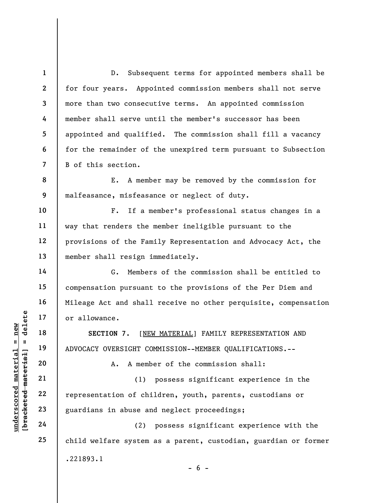1 2 3 4 5 6 7 8 9 10 11 12 13 14 15 16 17 18 D. Subsequent terms for appointed members shall be for four years. Appointed commission members shall not serve more than two consecutive terms. An appointed commission member shall serve until the member's successor has been appointed and qualified. The commission shall fill a vacancy for the remainder of the unexpired term pursuant to Subsection B of this section. E. A member may be removed by the commission for malfeasance, misfeasance or neglect of duty. F. If a member's professional status changes in a way that renders the member ineligible pursuant to the provisions of the Family Representation and Advocacy Act, the member shall resign immediately. G. Members of the commission shall be entitled to compensation pursuant to the provisions of the Per Diem and Mileage Act and shall receive no other perquisite, compensation or allowance. SECTION 7. [NEW MATERIAL] FAMILY REPRESENTATION AND

ADVOCACY OVERSIGHT COMMISSION--MEMBER QUALIFICATIONS.--

A. A member of the commission shall:

UNDERECTION 7. [NET OF ALLOWANCE.<br>
19 18 SECTION 7. [NET OF ADVOCACY OVERSIGHT CONTRIGHT CONTRIGHT CONTRIGHT CONTRIGHT CONTRIGHT CONTRIGHT CONTRIGHT CONTRIGHT CONTRIGHT CONTRIGHT CONTRIGHT CONTRIGHT CONTRIGHT CONTRIGHT CON (1) possess significant experience in the representation of children, youth, parents, custodians or guardians in abuse and neglect proceedings;

(2) possess significant experience with the child welfare system as a parent, custodian, guardian or former .221893.1  $- 6 -$ 

23 24

19

20

21

22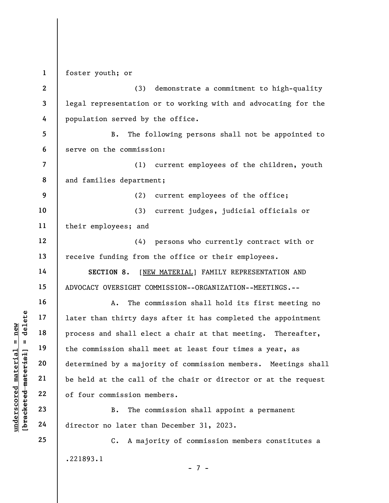1 foster youth; or

2 3 4 (3) demonstrate a commitment to high-quality legal representation or to working with and advocating for the population served by the office.

5 6 B. The following persons shall not be appointed to serve on the commission:

7 8 (1) current employees of the children, youth and families department;

(2) current employees of the office;

10 11 (3) current judges, judicial officials or their employees; and

12 13 (4) persons who currently contract with or receive funding from the office or their employees.

SECTION 8. [NEW MATERIAL] FAMILY REPRESENTATION AND ADVOCACY OVERSIGHT COMMISSION--ORGANIZATION--MEETINGS.--

underscored material = new [bracketed material] = delete A. The commission shall hold its first meeting no later than thirty days after it has completed the appointment process and shall elect a chair at that meeting. Thereafter, the commission shall meet at least four times a year, as determined by a majority of commission members. Meetings shall be held at the call of the chair or director or at the request of four commission members.

B. The commission shall appoint a permanent director no later than December 31, 2023.

C. A majority of commission members constitutes a .221893.1

- 7 -

9

14

15

16

17

18

19

20

21

22

23

24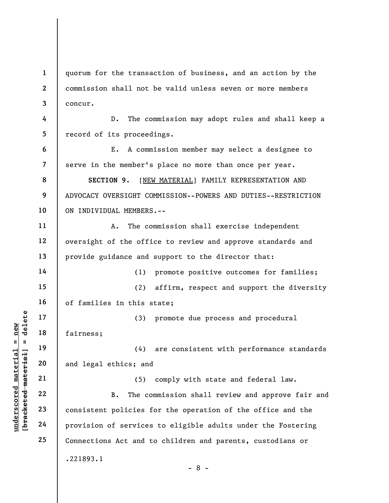1 2 3 4 5 6 7 8 9 quorum for the transaction of business, and an action by the commission shall not be valid unless seven or more members concur. D. The commission may adopt rules and shall keep a record of its proceedings. E. A commission member may select a designee to serve in the member's place no more than once per year. SECTION 9. [NEW MATERIAL] FAMILY REPRESENTATION AND ADVOCACY OVERSIGHT COMMISSION--POWERS AND DUTIES--RESTRICTION

10 ON INDIVIDUAL MEMBERS.--

A. The commission shall exercise independent oversight of the office to review and approve standards and provide guidance and support to the director that:

(1) promote positive outcomes for families;

15 16 (2) affirm, respect and support the diversity of families in this state;

(3) promote due process and procedural fairness;

(4) are consistent with performance standards and legal ethics; and

underscored material = new [bracketed material] = delete (5) comply with state and federal law. B. The commission shall review and approve fair and consistent policies for the operation of the office and the provision of services to eligible adults under the Fostering Connections Act and to children and parents, custodians or .221893.1 - 8 -

11

12

13

14

17

18

19

20

21

22

23

24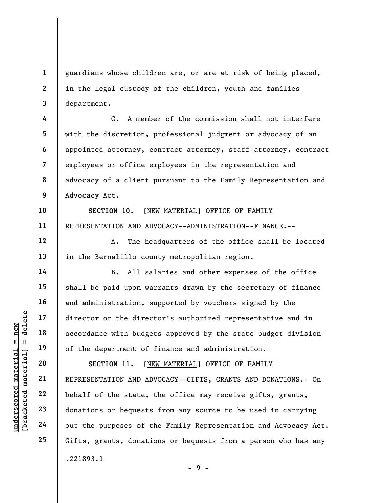guardians whose children are, or are at risk of being placed, in the legal custody of the children, youth and families department.

7 8 9 C. A member of the commission shall not interfere with the discretion, professional judgment or advocacy of an appointed attorney, contract attorney, staff attorney, contract employees or office employees in the representation and advocacy of a client pursuant to the Family Representation and Advocacy Act.

SECTION 10. [NEW MATERIAL] OFFICE OF FAMILY REPRESENTATION AND ADVOCACY--ADMINISTRATION--FINANCE.--

A. The headquarters of the office shall be located in the Bernalillo county metropolitan region.

B. All salaries and other expenses of the office shall be paid upon warrants drawn by the secretary of finance and administration, supported by vouchers signed by the director or the director's authorized representative and in accordance with budgets approved by the state budget division of the department of finance and administration.

underscored material = new [bracketed material] = delete SECTION 11. [NEW MATERIAL] OFFICE OF FAMILY REPRESENTATION AND ADVOCACY--GIFTS, GRANTS AND DONATIONS.--On behalf of the state, the office may receive gifts, grants, donations or bequests from any source to be used in carrying out the purposes of the Family Representation and Advocacy Act. Gifts, grants, donations or bequests from a person who has any .221893.1 - 9 -

1

2

3

4

5

6

10

11

12

13

14

15

16

17

18

19

20

21

22

23

24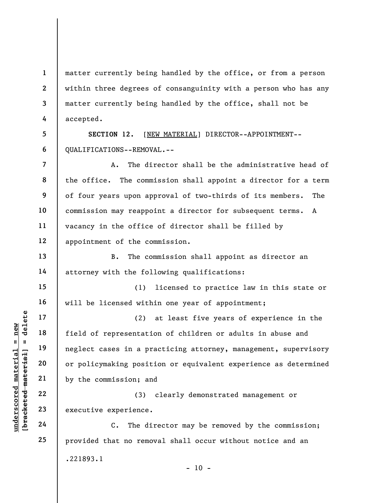1 2 3 4 matter currently being handled by the office, or from a person within three degrees of consanguinity with a person who has any matter currently being handled by the office, shall not be accepted.

5 6 SECTION 12. [NEW MATERIAL] DIRECTOR--APPOINTMENT-- QUALIFICATIONS--REMOVAL.--

8 A. The director shall be the administrative head of the office. The commission shall appoint a director for a term of four years upon approval of two-thirds of its members. The commission may reappoint a director for subsequent terms. A vacancy in the office of director shall be filled by appointment of the commission.

B. The commission shall appoint as director an attorney with the following qualifications:

(1) licensed to practice law in this state or will be licensed within one year of appointment;

understand material material of the sense of the commission; and the commission; and the commission; and the commission; and the commission; and the commission; and the commission; and the commission; and the commission; a (2) at least five years of experience in the field of representation of children or adults in abuse and neglect cases in a practicing attorney, management, supervisory or policymaking position or equivalent experience as determined by the commission; and

(3) clearly demonstrated management or executive experience.

C. The director may be removed by the commission; provided that no removal shall occur without notice and an .221893.1  $- 10 -$ 

7

9

10

11

12

13

14

15

16

17

18

19

20

21

22

23

24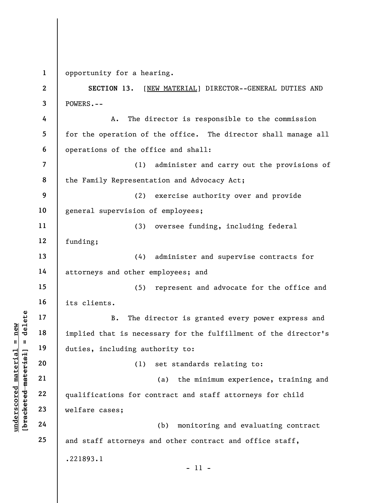1 opportunity for a hearing.

understand material material implied that is necessed in the distribution of the distribution of the distribution of the distribution of the distribution of the distribution of the distribution of the distribution of the d 2 3 4 5 6 7 8 9 10 11 12 13 14 15 16 17 18 19 20 21 22 23 24 25 SECTION 13. [NEW MATERIAL] DIRECTOR--GENERAL DUTIES AND POWERS.-- A. The director is responsible to the commission for the operation of the office. The director shall manage all operations of the office and shall: (1) administer and carry out the provisions of the Family Representation and Advocacy Act; (2) exercise authority over and provide general supervision of employees; (3) oversee funding, including federal funding; (4) administer and supervise contracts for attorneys and other employees; and (5) represent and advocate for the office and its clients. B. The director is granted every power express and implied that is necessary for the fulfillment of the director's duties, including authority to: (1) set standards relating to: (a) the minimum experience, training and qualifications for contract and staff attorneys for child welfare cases; (b) monitoring and evaluating contract and staff attorneys and other contract and office staff, .221893.1 - 11 -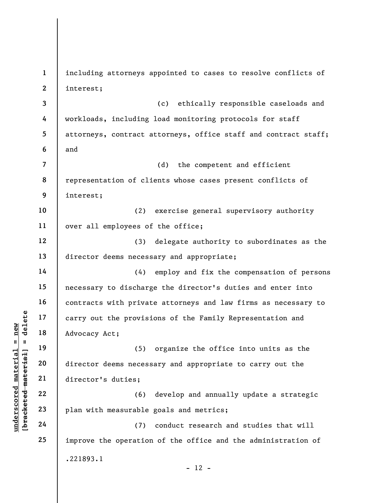understand material material and the provision of the provision of the provision of the provision of the provision of the provision of the provision of the provision of the provision of the provision of the provision of th 1 2 3 4 5 6 7 8 9 10 11 12 13 14 15 16 17 18 19 20 21 22 23 24 25 including attorneys appointed to cases to resolve conflicts of interest; (c) ethically responsible caseloads and workloads, including load monitoring protocols for staff attorneys, contract attorneys, office staff and contract staff; and (d) the competent and efficient representation of clients whose cases present conflicts of interest; (2) exercise general supervisory authority over all employees of the office; (3) delegate authority to subordinates as the director deems necessary and appropriate; (4) employ and fix the compensation of persons necessary to discharge the director's duties and enter into contracts with private attorneys and law firms as necessary to carry out the provisions of the Family Representation and Advocacy Act; (5) organize the office into units as the director deems necessary and appropriate to carry out the director's duties; (6) develop and annually update a strategic plan with measurable goals and metrics; (7) conduct research and studies that will improve the operation of the office and the administration of .221893.1  $- 12 -$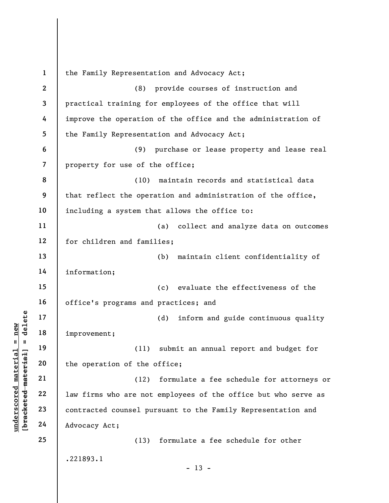understand material material improvement;<br>  $\begin{array}{c|c}\n\text{a} & \text{b} & \text{c} \\
\text{c} & \text{d} & \text{d} & \text{d} \\
\text{d} & \text{e} & \text{f} & \text{f} \\
\text{e} & \text{f} & \text{g} & \text{g} \\
\text{f} & \text{g} & \text{h} & \text{g} \\
\text{g} & \text{h} & \text{h} & \text{h} \\
\text{h} & \text{h} & \text{h} & \text{h} \\
\text{h} &$ 1 2 3 4 5 6 7 8 9 10 11 12 13 14 15 16 17 18 19 20 21 22 23 24 25 the Family Representation and Advocacy Act; (8) provide courses of instruction and practical training for employees of the office that will improve the operation of the office and the administration of the Family Representation and Advocacy Act; (9) purchase or lease property and lease real property for use of the office; (10) maintain records and statistical data that reflect the operation and administration of the office, including a system that allows the office to: (a) collect and analyze data on outcomes for children and families; (b) maintain client confidentiality of information; (c) evaluate the effectiveness of the office's programs and practices; and (d) inform and guide continuous quality improvement; (11) submit an annual report and budget for the operation of the office; (12) formulate a fee schedule for attorneys or law firms who are not employees of the office but who serve as contracted counsel pursuant to the Family Representation and Advocacy Act; (13) formulate a fee schedule for other .221893.1  $- 13 -$